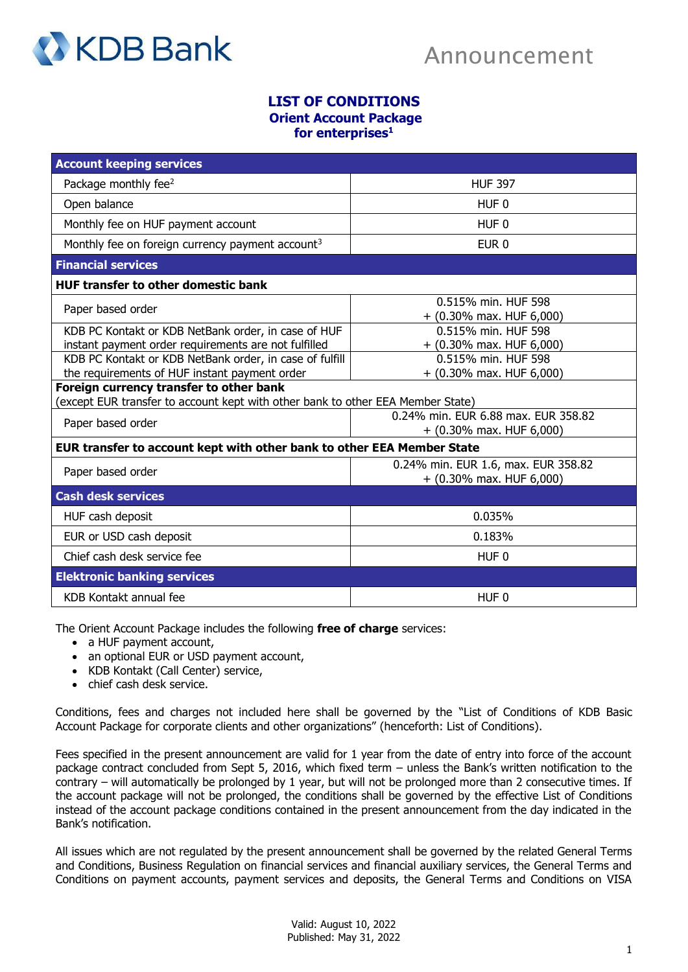

## **LIST OF CONDITIONS**

**Orient Account Package for enterprises<sup>1</sup>**

| <b>Account keeping services</b>                                                                                            |                                     |
|----------------------------------------------------------------------------------------------------------------------------|-------------------------------------|
| Package monthly fee <sup>2</sup>                                                                                           | <b>HUF 397</b>                      |
| Open balance                                                                                                               | HUF <sub>0</sub>                    |
| Monthly fee on HUF payment account                                                                                         | HUF <sub>0</sub>                    |
| Monthly fee on foreign currency payment account <sup>3</sup>                                                               | EUR <sub>0</sub>                    |
| <b>Financial services</b>                                                                                                  |                                     |
| <b>HUF transfer to other domestic bank</b>                                                                                 |                                     |
| Paper based order                                                                                                          | 0.515% min. HUF 598                 |
|                                                                                                                            | $+$ (0.30% max. HUF 6,000)          |
| KDB PC Kontakt or KDB NetBank order, in case of HUF                                                                        | 0.515% min. HUF 598                 |
| instant payment order requirements are not fulfilled                                                                       | + (0.30% max. HUF 6,000)            |
| KDB PC Kontakt or KDB NetBank order, in case of fulfill                                                                    | 0.515% min. HUF 598                 |
| the requirements of HUF instant payment order                                                                              | + (0.30% max. HUF 6,000)            |
| Foreign currency transfer to other bank<br>(except EUR transfer to account kept with other bank to other EEA Member State) |                                     |
|                                                                                                                            | 0.24% min. EUR 6.88 max. EUR 358.82 |
| Paper based order                                                                                                          | + (0.30% max. HUF 6,000)            |
| EUR transfer to account kept with other bank to other EEA Member State                                                     |                                     |
| Paper based order                                                                                                          | 0.24% min. EUR 1.6, max. EUR 358.82 |
|                                                                                                                            | + (0.30% max. HUF 6,000)            |
| <b>Cash desk services</b>                                                                                                  |                                     |
| HUF cash deposit                                                                                                           | 0.035%                              |
| EUR or USD cash deposit                                                                                                    | 0.183%                              |
| Chief cash desk service fee                                                                                                | HUF <sub>0</sub>                    |
| <b>Elektronic banking services</b>                                                                                         |                                     |
| KDB Kontakt annual fee                                                                                                     | HUF <sub>0</sub>                    |

The Orient Account Package includes the following **free of charge** services:

- a HUF payment account,
- an optional EUR or USD payment account,
- KDB Kontakt (Call Center) service,
- chief cash desk service.

Conditions, fees and charges not included here shall be governed by the "List of Conditions of KDB Basic Account Package for corporate clients and other organizations" (henceforth: List of Conditions).

Fees specified in the present announcement are valid for 1 year from the date of entry into force of the account package contract concluded from Sept 5, 2016, which fixed term – unless the Bank's written notification to the contrary – will automatically be prolonged by 1 year, but will not be prolonged more than 2 consecutive times. If the account package will not be prolonged, the conditions shall be governed by the effective List of Conditions instead of the account package conditions contained in the present announcement from the day indicated in the Bank's notification.

All issues which are not regulated by the present announcement shall be governed by the related General Terms and Conditions, Business Regulation on financial services and financial auxiliary services, the General Terms and Conditions on payment accounts, payment services and deposits, the General Terms and Conditions on VISA